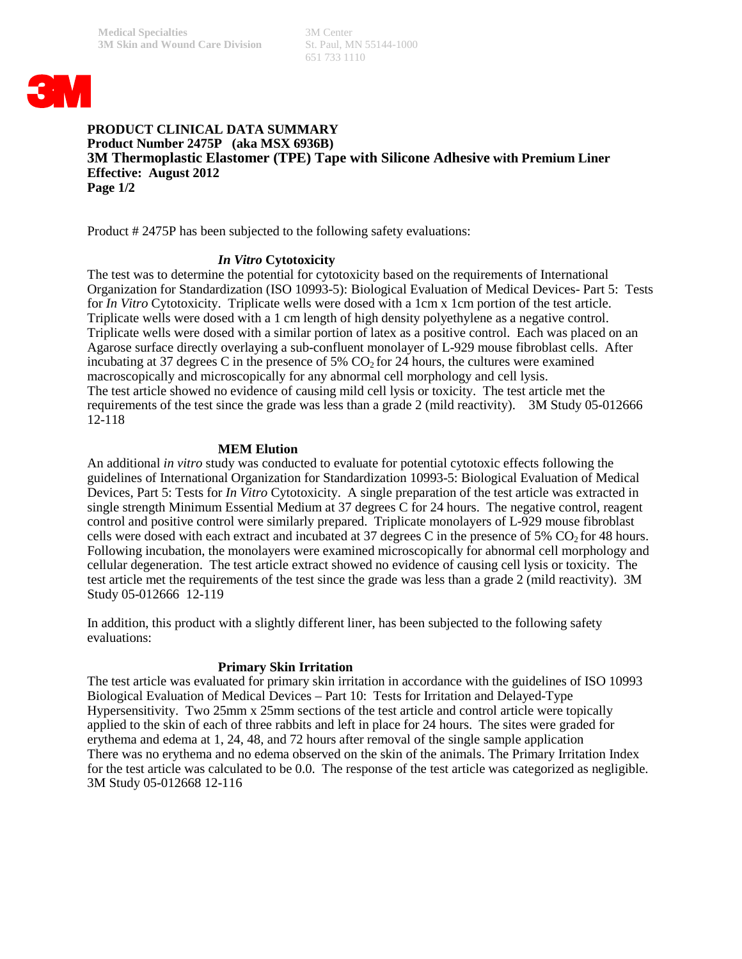651 733 1110



#### **PRODUCT CLINICAL DATA SUMMARY Product Number 2475P (aka MSX 6936B) 3M Thermoplastic Elastomer (TPE) Tape with Silicone Adhesive with Premium Liner Effective: August 2012 Page 1/2**

Product # 2475P has been subjected to the following safety evaluations:

# *In Vitro* **Cytotoxicity**

The test was to determine the potential for cytotoxicity based on the requirements of International Organization for Standardization (ISO 10993-5): Biological Evaluation of Medical Devices- Part 5: Tests for *In Vitro* Cytotoxicity. Triplicate wells were dosed with a 1cm x 1cm portion of the test article. Triplicate wells were dosed with a 1 cm length of high density polyethylene as a negative control. Triplicate wells were dosed with a similar portion of latex as a positive control. Each was placed on an Agarose surface directly overlaying a sub-confluent monolayer of L-929 mouse fibroblast cells. After incubating at 37 degrees C in the presence of 5%  $CO<sub>2</sub>$  for 24 hours, the cultures were examined macroscopically and microscopically for any abnormal cell morphology and cell lysis. The test article showed no evidence of causing mild cell lysis or toxicity. The test article met the requirements of the test since the grade was less than a grade 2 (mild reactivity). 3M Study 05-012666 12-118

# **MEM Elution**

An additional *in vitro* study was conducted to evaluate for potential cytotoxic effects following the guidelines of International Organization for Standardization 10993-5: Biological Evaluation of Medical Devices, Part 5: Tests for *In Vitro* Cytotoxicity. A single preparation of the test article was extracted in single strength Minimum Essential Medium at 37 degrees C for 24 hours. The negative control, reagent control and positive control were similarly prepared. Triplicate monolayers of L-929 mouse fibroblast cells were dosed with each extract and incubated at 37 degrees C in the presence of 5%  $CO<sub>2</sub>$  for 48 hours. Following incubation, the monolayers were examined microscopically for abnormal cell morphology and cellular degeneration. The test article extract showed no evidence of causing cell lysis or toxicity. The test article met the requirements of the test since the grade was less than a grade 2 (mild reactivity). 3M Study 05-012666 12-119

In addition, this product with a slightly different liner, has been subjected to the following safety evaluations:

# **Primary Skin Irritation**

The test article was evaluated for primary skin irritation in accordance with the guidelines of ISO 10993 Biological Evaluation of Medical Devices – Part 10: Tests for Irritation and Delayed-Type Hypersensitivity. Two 25mm x 25mm sections of the test article and control article were topically applied to the skin of each of three rabbits and left in place for 24 hours. The sites were graded for erythema and edema at 1, 24, 48, and 72 hours after removal of the single sample application There was no erythema and no edema observed on the skin of the animals. The Primary Irritation Index for the test article was calculated to be 0.0. The response of the test article was categorized as negligible. 3M Study 05-012668 12-116